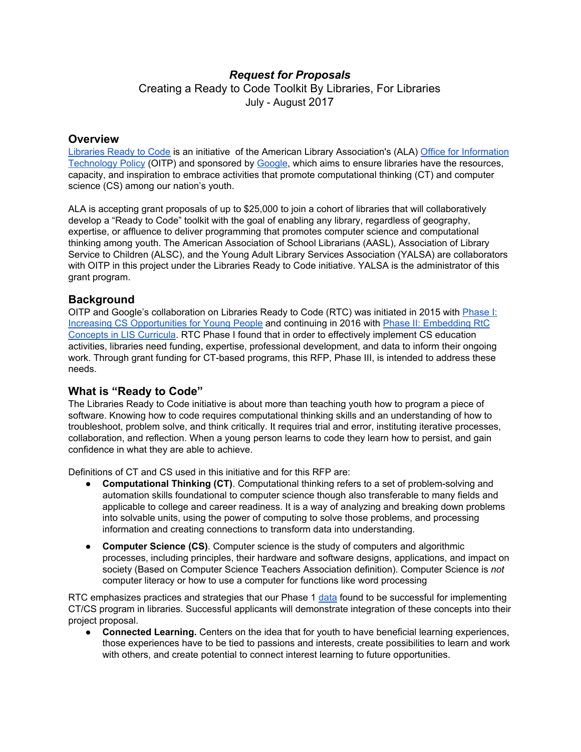# *Request for Proposals*

Creating a Ready to Code Toolkit By Libraries, For Libraries July - August 2017

#### **Overview**

[Libraries](http://www.ala.org/tools/readytocode) Ready to Code is an initiative of the American Library Association's (ALA) Office for [Information](http://www.ala.org/offices/oitp) [Technology](http://www.ala.org/offices/oitp) Policy (OITP) and sponsored by [Google,](https://edu.google.com/resources/computerscience/) which aims to ensure libraries have the resources, capacity, and inspiration to embrace activities that promote computational thinking (CT) and computer science (CS) among our nation's youth.

ALA is accepting grant proposals of up to \$25,000 to join a cohort of libraries that will collaboratively develop a "Ready to Code" toolkit with the goal of enabling any library, regardless of geography, expertise, or affluence to deliver programming that promotes computer science and computational thinking among youth. The American Association of School Librarians (AASL), Association of Library Service to Children (ALSC), and the Young Adult Library Services Association (YALSA) are collaborators with OITP in this project under the Libraries Ready to Code initiative. YALSA is the administrator of this grant program.

### **Background**

OITP and Google's collaboration on Libraries Ready to Code (RTC) was initiated in 2015 with [Phase](http://www.ala.org/advocacy/sites/ala.org.advocacy/files/content/pp/Ready_To_Code_Report_FINAL.pdf) I: Increasing CS [Opportunities](http://www.ala.org/advocacy/sites/ala.org.advocacy/files/content/pp/Ready_To_Code_Report_FINAL.pdf) for Young People and continuing in 2016 with Phase II: [Embedding](http://www.ala.org/news/press-releases/2017/04/ala-announces-libraries-ready-code-faculty-fellows) RtC [Concepts](http://www.ala.org/news/press-releases/2017/04/ala-announces-libraries-ready-code-faculty-fellows) in LIS Curricula. RTC Phase I found that in order to effectively implement CS education activities, libraries need funding, expertise, professional development, and data to inform their ongoing work. Through grant funding for CT-based programs, this RFP, Phase III, is intended to address these needs.

### **What is "Ready to Code"**

The Libraries Ready to Code initiative is about more than teaching youth how to program a piece of software. Knowing how to code requires computational thinking skills and an understanding of how to troubleshoot, problem solve, and think critically. It requires trial and error, instituting iterative processes, collaboration, and reflection. When a young person learns to code they learn how to persist, and gain confidence in what they are able to achieve.

Definitions of CT and CS used in this initiative and for this RFP are:

- **Computational Thinking (CT)**. Computational thinking refers to a set of problem-solving and automation skills foundational to computer science though also transferable to many fields and applicable to college and career readiness. It is a way of analyzing and breaking down problems into solvable units, using the power of computing to solve those problems, and processing information and creating connections to transform data into understanding.
- **Computer Science (CS)**. Computer science is the study of computers and algorithmic processes, including principles, their hardware and software designs, applications, and impact on society (Based on Computer Science Teachers Association definition). Computer Science is *not* computer literacy or how to use a computer for functions like word processing

RTC emphasizes practices and strategies that our Phase 1 [data](http://www.ala.org/advocacy/sites/ala.org.advocacy/files/content/pp/Ready_To_Code_Report_FINAL.pdf) found to be successful for implementing CT/CS program in libraries. Successful applicants will demonstrate integration of these concepts into their project proposal.

● **Connected Learning.** Centers on the idea that for youth to have beneficial learning experiences, those experiences have to be tied to passions and interests, create possibilities to learn and work with others, and create potential to connect interest learning to future opportunities.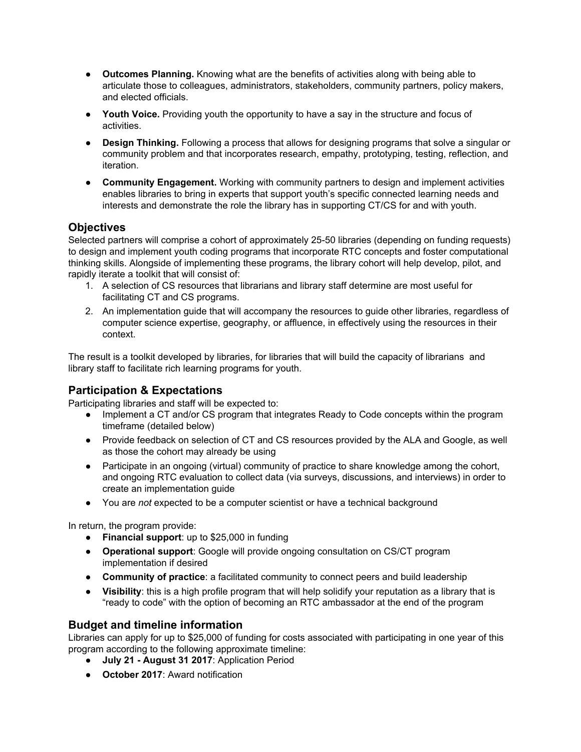- **Outcomes Planning.** Knowing what are the benefits of activities along with being able to articulate those to colleagues, administrators, stakeholders, community partners, policy makers, and elected officials.
- **Youth Voice.** Providing youth the opportunity to have a say in the structure and focus of activities.
- **Design Thinking.** Following a process that allows for designing programs that solve a singular or community problem and that incorporates research, empathy, prototyping, testing, reflection, and iteration.
- **Community Engagement.** Working with community partners to design and implement activities enables libraries to bring in experts that support youth's specific connected learning needs and interests and demonstrate the role the library has in supporting CT/CS for and with youth.

## **Objectives**

Selected partners will comprise a cohort of approximately 25-50 libraries (depending on funding requests) to design and implement youth coding programs that incorporate RTC concepts and foster computational thinking skills. Alongside of implementing these programs, the library cohort will help develop, pilot, and rapidly iterate a toolkit that will consist of:

- 1. A selection of CS resources that librarians and library staff determine are most useful for facilitating CT and CS programs.
- 2. An implementation guide that will accompany the resources to guide other libraries, regardless of computer science expertise, geography, or affluence, in effectively using the resources in their context.

The result is a toolkit developed by libraries, for libraries that will build the capacity of librarians and library staff to facilitate rich learning programs for youth.

## **Participation & Expectations**

Participating libraries and staff will be expected to:

- Implement a CT and/or CS program that integrates Ready to Code concepts within the program timeframe (detailed below)
- Provide feedback on selection of CT and CS resources provided by the ALA and Google, as well as those the cohort may already be using
- Participate in an ongoing (virtual) community of practice to share knowledge among the cohort, and ongoing RTC evaluation to collect data (via surveys, discussions, and interviews) in order to create an implementation guide
- You are *not* expected to be a computer scientist or have a technical background

In return, the program provide:

- **Financial support**: up to \$25,000 in funding
- **Operational support**: Google will provide ongoing consultation on CS/CT program implementation if desired
- **Community of practice**: a facilitated community to connect peers and build leadership
- **Visibility**: this is a high profile program that will help solidify your reputation as a library that is "ready to code" with the option of becoming an RTC ambassador at the end of the program

## **Budget and timeline information**

Libraries can apply for up to \$25,000 of funding for costs associated with participating in one year of this program according to the following approximate timeline:

- **July 21 - August 31 2017**: Application Period
- **October 2017**: Award notification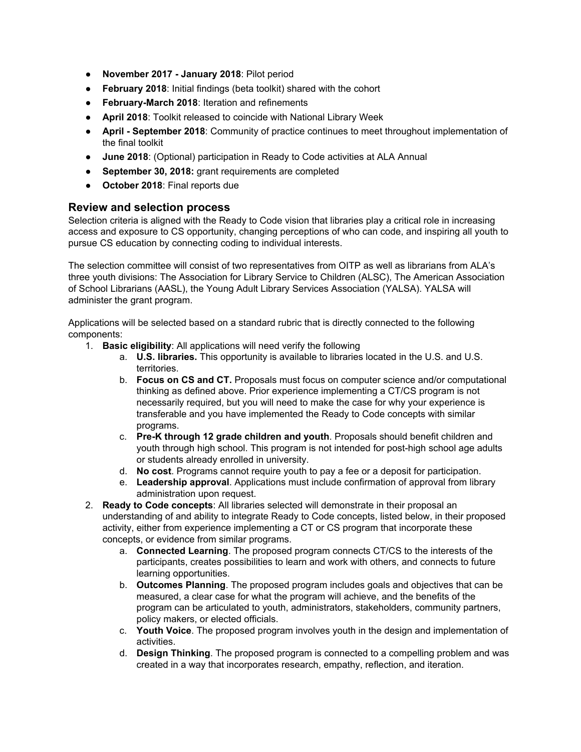- **November 2017 - January 2018**: Pilot period
- **February 2018**: Initial findings (beta toolkit) shared with the cohort
- **February-March 2018**: Iteration and refinements
- **April 2018**: Toolkit released to coincide with National Library Week
- **April - September 2018**: Community of practice continues to meet throughout implementation of the final toolkit
- **June 2018**: (Optional) participation in Ready to Code activities at ALA Annual
- **September 30, 2018:** grant requirements are completed
- **October 2018**: Final reports due

### **Review and selection process**

Selection criteria is aligned with the Ready to Code vision that libraries play a critical role in increasing access and exposure to CS opportunity, changing perceptions of who can code, and inspiring all youth to pursue CS education by connecting coding to individual interests.

The selection committee will consist of two representatives from OITP as well as librarians from ALA's three youth divisions: The Association for Library Service to Children (ALSC), The American Association of School Librarians (AASL), the Young Adult Library Services Association (YALSA). YALSA will administer the grant program.

Applications will be selected based on a standard rubric that is directly connected to the following components:

- 1. **Basic eligibility**: All applications will need verify the following
	- a. **U.S. libraries.** This opportunity is available to libraries located in the U.S. and U.S. territories.
	- b. **Focus on CS and CT.** Proposals must focus on computer science and/or computational thinking as defined above. Prior experience implementing a CT/CS program is not necessarily required, but you will need to make the case for why your experience is transferable and you have implemented the Ready to Code concepts with similar programs.
	- c. **Pre-K through 12 grade children and youth**. Proposals should benefit children and youth through high school. This program is not intended for post-high school age adults or students already enrolled in university.
	- d. **No cost**. Programs cannot require youth to pay a fee or a deposit for participation.
	- e. **Leadership approval**. Applications must include confirmation of approval from library administration upon request.
- 2. **Ready to Code concepts**: All libraries selected will demonstrate in their proposal an understanding of and ability to integrate Ready to Code concepts, listed below, in their proposed activity, either from experience implementing a CT or CS program that incorporate these concepts, or evidence from similar programs.
	- a. **Connected Learning**. The proposed program connects CT/CS to the interests of the participants, creates possibilities to learn and work with others, and connects to future learning opportunities.
	- b. **Outcomes Planning**. The proposed program includes goals and objectives that can be measured, a clear case for what the program will achieve, and the benefits of the program can be articulated to youth, administrators, stakeholders, community partners, policy makers, or elected officials.
	- c. **Youth Voice**. The proposed program involves youth in the design and implementation of activities.
	- d. **Design Thinking**. The proposed program is connected to a compelling problem and was created in a way that incorporates research, empathy, reflection, and iteration.